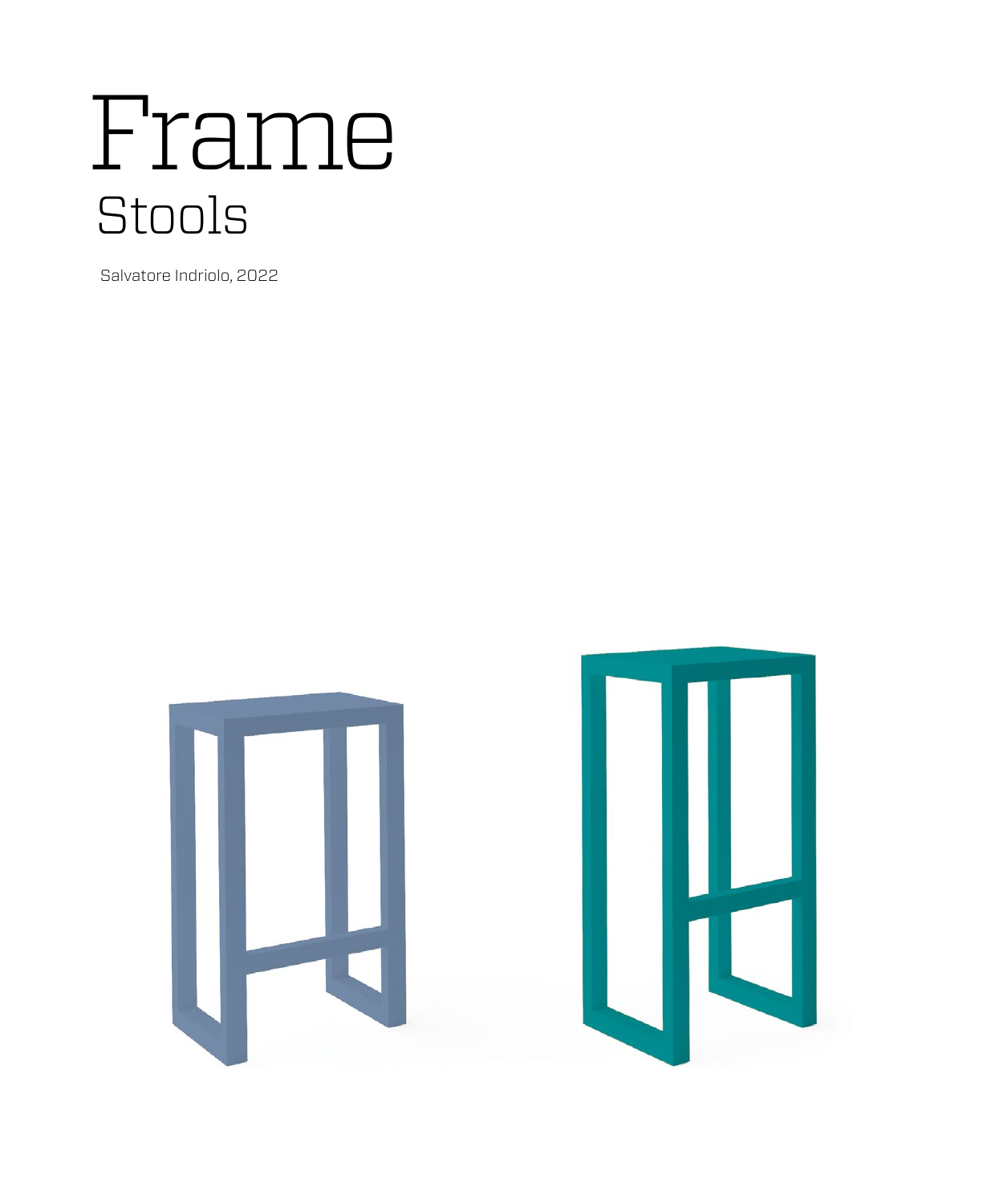# Frame Stools

Salvatore Indriolo, 2022

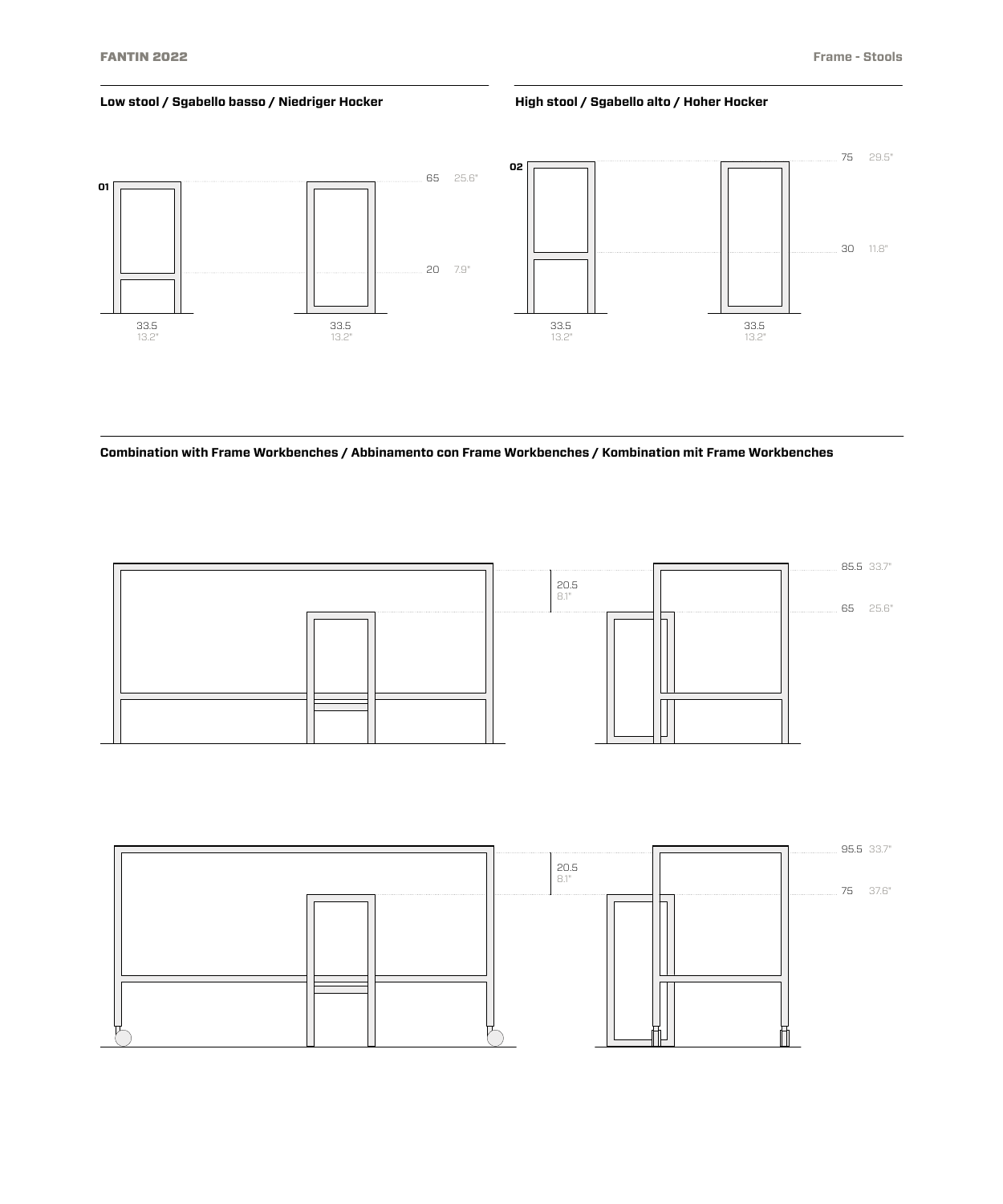# **Low stool / Sgabello basso / Niedriger Hocker High stool / Sgabello alto / Hoher Hocker**



**Combination with Frame Workbenches / Abbinamento con Frame Workbenches / Kombination mit Frame Workbenches**



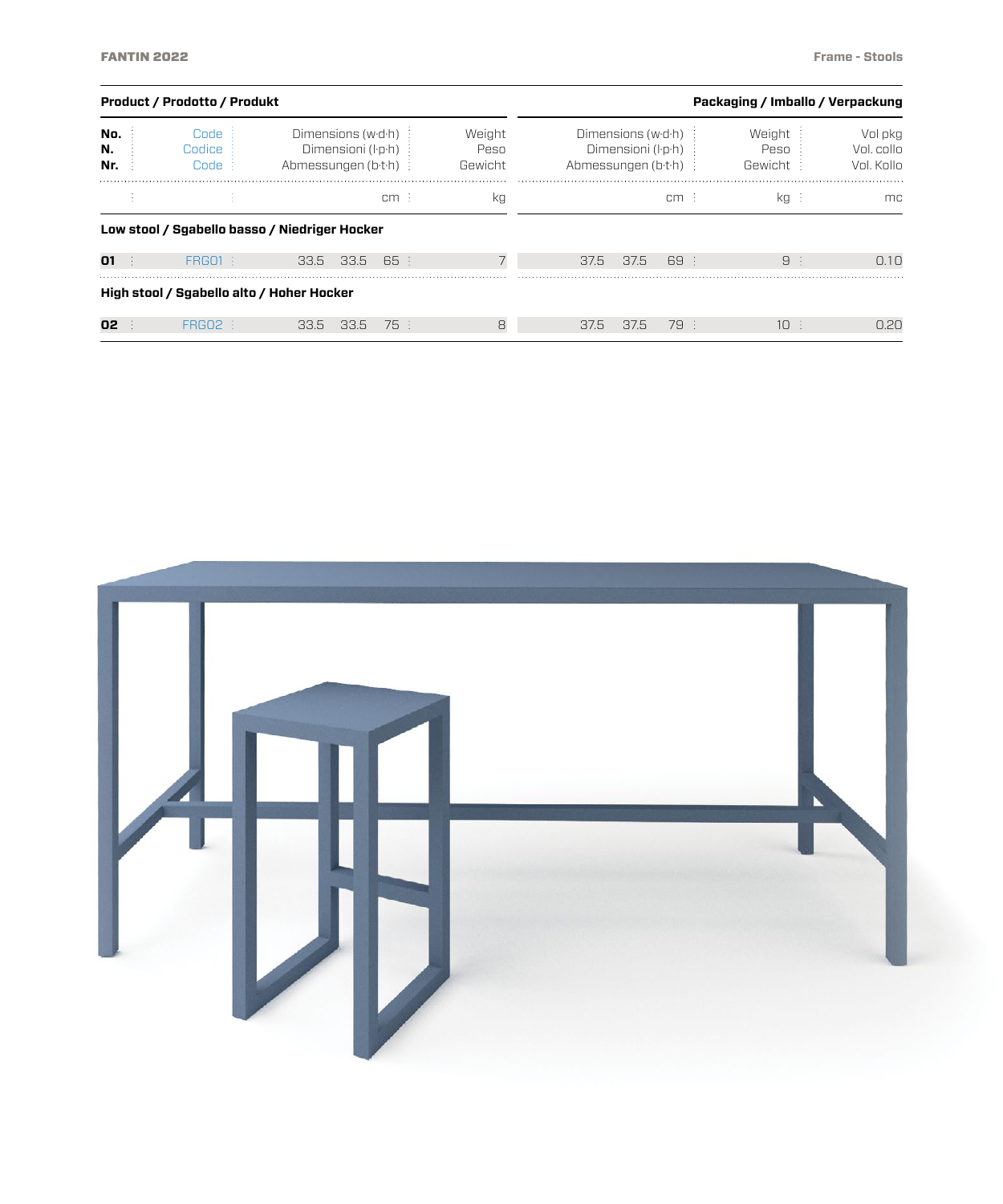|                  | <b>Product / Prodotto / Produkt</b>       |                                                                  | Packaging / Imballo / Verpackung |                           |      |                                                                   |      |                            |  |                                     |
|------------------|-------------------------------------------|------------------------------------------------------------------|----------------------------------|---------------------------|------|-------------------------------------------------------------------|------|----------------------------|--|-------------------------------------|
| No.<br>N.<br>Nr. | Code<br>Codice<br>Code:                   | Dimensions (wd-h) :<br>Dimensioni (l·p·h)<br>Abmessungen (b.t.h) |                                  | Weight<br>Peso<br>Gewicht |      | Dimensions (w·d·h)<br>Dimensioni (l·p·h)<br>Abmessungen (b·t·h) : |      | Weight<br>Peso<br>Gewicht: |  | Vol pkg<br>Vol. collo<br>Vol. Kollo |
|                  |                                           |                                                                  | licm E                           | kg                        |      |                                                                   | cm : | $kq$ :                     |  | mc.                                 |
|                  |                                           | Low stool / Sgabello basso / Niedriger Hocker                    |                                  |                           |      |                                                                   |      |                            |  |                                     |
| 01               | <b>FRG01 {</b>                            | 33.5<br>33.5                                                     | 65 E                             |                           | 37.5 | 37.5                                                              | 69 : | 9:                         |  | $\bigcap$ 1 $\bigcap$               |
|                  | High stool / Sgabello alto / Hoher Hocker |                                                                  |                                  |                           |      |                                                                   |      |                            |  |                                     |
| 02               | <b>FRGO2</b>                              | 33.5 33.5                                                        | 75 :                             | 8                         | 37.5 | 37.5                                                              | 79 : | $10 \div$                  |  | 0.20                                |

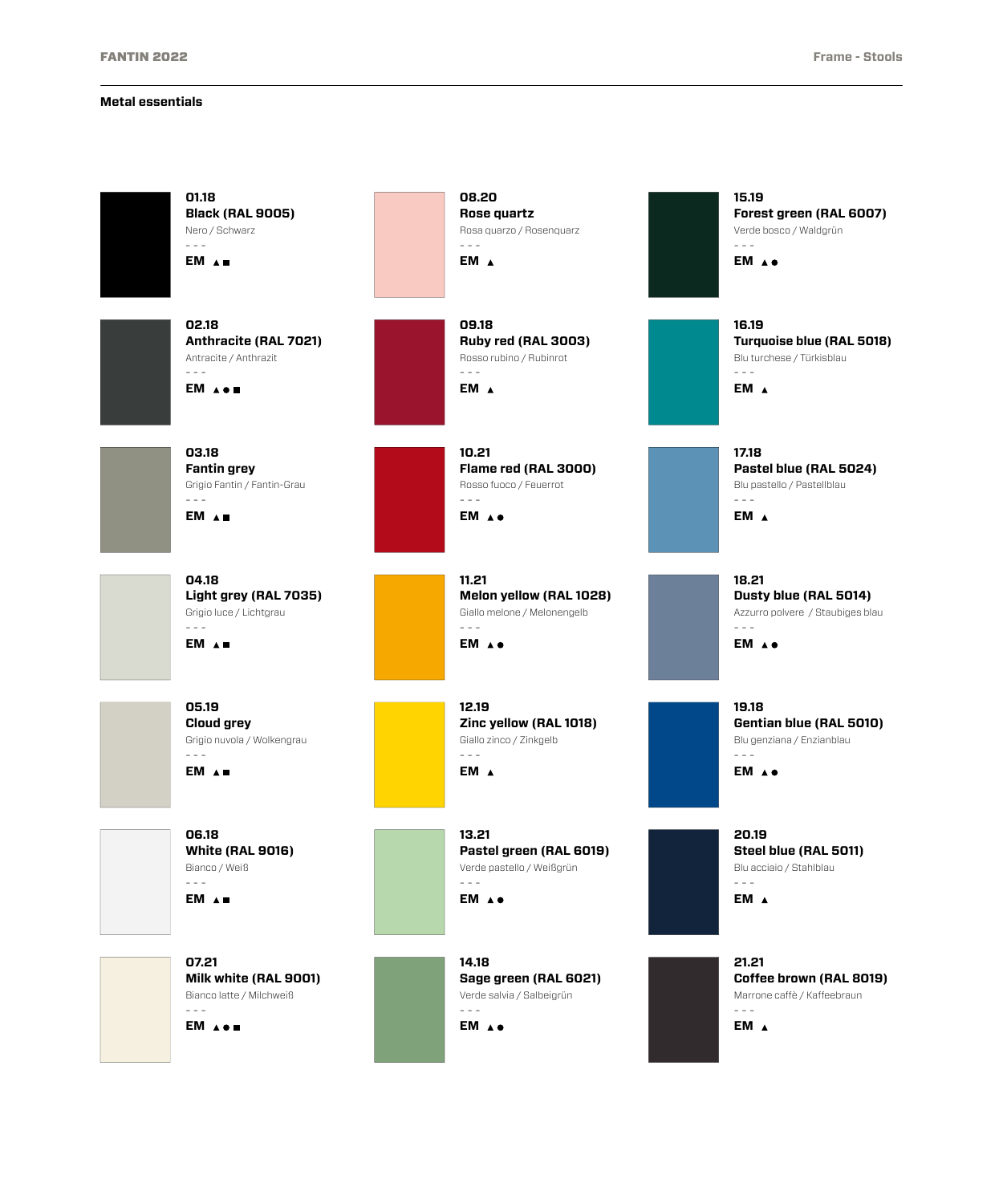#### **Metal essentials**

| 01.18<br><b>Black (RAL 9005)</b><br>Nero / Schwarz<br>$\sim$ $ -$<br>EM A .                                                                                                                                                                                                                                                                                                                                                                                         | 08.20<br>Rose quartz<br>Rosa quarzo / Rosenquarz<br>$\frac{1}{2} \frac{1}{2} \frac{1}{2} \frac{1}{2} \frac{1}{2} \frac{1}{2} \frac{1}{2} \frac{1}{2} \frac{1}{2} \frac{1}{2} \frac{1}{2} \frac{1}{2} \frac{1}{2} \frac{1}{2} \frac{1}{2} \frac{1}{2} \frac{1}{2} \frac{1}{2} \frac{1}{2} \frac{1}{2} \frac{1}{2} \frac{1}{2} \frac{1}{2} \frac{1}{2} \frac{1}{2} \frac{1}{2} \frac{1}{2} \frac{1}{2} \frac{1}{2} \frac{1}{2} \frac{1}{2} \frac{$<br>EM A                 | 15.19<br>Forest green (RAL 6007)<br>Verde bosco / Waldgrün<br>$\sim$ $\sim$ $\sim$<br>EM A.                                                                                                                                                                                                                                                                                                                                                                                  |
|---------------------------------------------------------------------------------------------------------------------------------------------------------------------------------------------------------------------------------------------------------------------------------------------------------------------------------------------------------------------------------------------------------------------------------------------------------------------|--------------------------------------------------------------------------------------------------------------------------------------------------------------------------------------------------------------------------------------------------------------------------------------------------------------------------------------------------------------------------------------------------------------------------------------------------------------------------|------------------------------------------------------------------------------------------------------------------------------------------------------------------------------------------------------------------------------------------------------------------------------------------------------------------------------------------------------------------------------------------------------------------------------------------------------------------------------|
| 02.18<br>Anthracite (RAL 7021)<br>Antracite / Anthrazit<br>$\sim$ $\sim$<br>EM A                                                                                                                                                                                                                                                                                                                                                                                    | 09.18<br>Ruby red (RAL 3003)<br>Rosso rubino / Rubinrot<br>$\sim$ $\sim$ $\sim$<br>EM A                                                                                                                                                                                                                                                                                                                                                                                  | 16.19<br>Turquoise blue (RAL 5018)<br>Blu turchese / Türkisblau<br>$\sim$ $\sim$ $\sim$<br>EM A                                                                                                                                                                                                                                                                                                                                                                              |
| 03.18<br><b>Fantin grey</b><br>Grigio Fantin / Fantin-Grau<br>$- - -$<br>EM A                                                                                                                                                                                                                                                                                                                                                                                       | 10.21<br>Flame red (RAL 3000)<br>Rosso fuoco / Feuerrot<br>$\sim$ $\sim$ $\sim$<br>EM A.                                                                                                                                                                                                                                                                                                                                                                                 | 17.18<br>Pastel blue (RAL 5024)<br>Blu pastello / Pastellblau<br>$- - -$<br>EM A                                                                                                                                                                                                                                                                                                                                                                                             |
| 04.18<br>Light grey (RAL 7035)<br>Grigio luce / Lichtgrau<br>$\frac{1}{2} \frac{1}{2} \frac{1}{2} \frac{1}{2} \frac{1}{2} \frac{1}{2} \frac{1}{2} \frac{1}{2} \frac{1}{2} \frac{1}{2} \frac{1}{2} \frac{1}{2} \frac{1}{2} \frac{1}{2} \frac{1}{2} \frac{1}{2} \frac{1}{2} \frac{1}{2} \frac{1}{2} \frac{1}{2} \frac{1}{2} \frac{1}{2} \frac{1}{2} \frac{1}{2} \frac{1}{2} \frac{1}{2} \frac{1}{2} \frac{1}{2} \frac{1}{2} \frac{1}{2} \frac{1}{2} \frac{$<br>EM A . | 11.21<br>Melon yellow (RAL 1028)<br>Giallo melone / Melonengelb<br>$\frac{1}{2} \frac{1}{2} \frac{1}{2} \frac{1}{2} \frac{1}{2} \frac{1}{2} \frac{1}{2} \frac{1}{2} \frac{1}{2} \frac{1}{2} \frac{1}{2} \frac{1}{2} \frac{1}{2} \frac{1}{2} \frac{1}{2} \frac{1}{2} \frac{1}{2} \frac{1}{2} \frac{1}{2} \frac{1}{2} \frac{1}{2} \frac{1}{2} \frac{1}{2} \frac{1}{2} \frac{1}{2} \frac{1}{2} \frac{1}{2} \frac{1}{2} \frac{1}{2} \frac{1}{2} \frac{1}{2} \frac{$<br>EM A. | 18.21<br>Dusty blue (RAL 5014)<br>Azzurro polvere / Staubiges blau<br>$\frac{1}{2} \frac{1}{2} \frac{1}{2} \frac{1}{2} \frac{1}{2} \frac{1}{2} \frac{1}{2} \frac{1}{2} \frac{1}{2} \frac{1}{2} \frac{1}{2} \frac{1}{2} \frac{1}{2} \frac{1}{2} \frac{1}{2} \frac{1}{2} \frac{1}{2} \frac{1}{2} \frac{1}{2} \frac{1}{2} \frac{1}{2} \frac{1}{2} \frac{1}{2} \frac{1}{2} \frac{1}{2} \frac{1}{2} \frac{1}{2} \frac{1}{2} \frac{1}{2} \frac{1}{2} \frac{1}{2} \frac{$<br>EM A . |
| 05.19<br><b>Cloud grey</b><br>Grigio nuvola / Wolkengrau<br>$\frac{1}{2} \frac{1}{2} \frac{1}{2} \frac{1}{2} \frac{1}{2} \frac{1}{2} \frac{1}{2} \frac{1}{2} \frac{1}{2} \frac{1}{2} \frac{1}{2} \frac{1}{2} \frac{1}{2} \frac{1}{2} \frac{1}{2} \frac{1}{2} \frac{1}{2} \frac{1}{2} \frac{1}{2} \frac{1}{2} \frac{1}{2} \frac{1}{2} \frac{1}{2} \frac{1}{2} \frac{1}{2} \frac{1}{2} \frac{1}{2} \frac{1}{2} \frac{1}{2} \frac{1}{2} \frac{1}{2} \frac{$<br>EM A    | 12.19<br>Zinc yellow (RAL 1018)<br>Giallo zinco / Zinkgelb<br>$\sim$ $ -$<br>EM A                                                                                                                                                                                                                                                                                                                                                                                        | 19.18<br>Gentian blue (RAL 5010)<br>Blu genziana / Enzianblau<br>$- - -$<br>EM A.                                                                                                                                                                                                                                                                                                                                                                                            |
| 06.18<br><b>White (RAL 9016)</b><br>Bianco / Weiß<br>$\sim 100$<br>EM A .                                                                                                                                                                                                                                                                                                                                                                                           | 13.21<br>Pastel green (RAL 6019)<br>Verde pastello / Weißgrün<br>$\sim$ $\sim$ $\sim$<br>EM A ●                                                                                                                                                                                                                                                                                                                                                                          | 20.19<br>Steel blue (RAL 5011)<br>Blu acciaio / Stahlblau<br>$\sim$ $\sim$ $\sim$<br>EM A                                                                                                                                                                                                                                                                                                                                                                                    |
| 07.21<br>Milk white (RAL 9001)<br>Bianco latte / Milchweiß<br>$\sim$ $\sim$<br>EM A                                                                                                                                                                                                                                                                                                                                                                                 | 14.18<br>Sage green (RAL 6021)<br>Verde salvia / Salbeigrün<br>$\sim$ $\sim$ $\sim$<br>EM A.                                                                                                                                                                                                                                                                                                                                                                             | 21.21<br>Coffee brown (RAL 8019)<br>Marrone caffè / Kaffeebraun<br>$- - -$<br>EM A                                                                                                                                                                                                                                                                                                                                                                                           |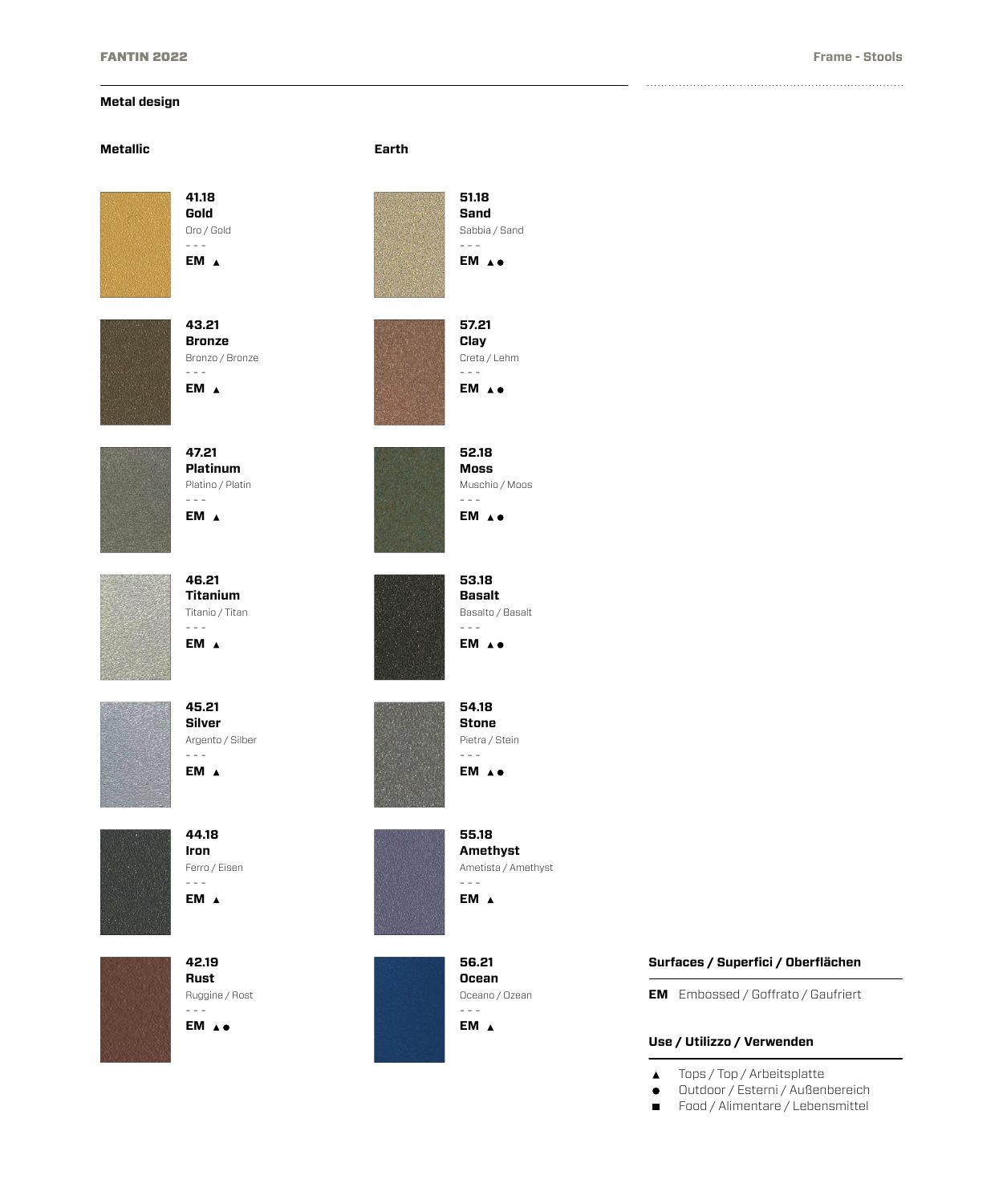# **Metal design**

#### **Metallic Earth**



**41.18 Gold** Oro / Gold - - - **EM**



**43.21 Bronze** Bronzo / Bronze - - - **EM**



**47.21 Platinum** Platino / Platin - - - **EM**

**46.21 Titanium** Titanio / Titan - - - **EM**



**45.21 Silver** Argento / Silber - - - **EM**



**44.18 Iron** Ferro / Eisen - - -



**EM**

**42.19 Rust** Ruggine / Rost - - - **EM**





**51.18 Sand** Sabbia / Sand  $- - -$ **EM**

**57.21 Clay** Creta / Lehm - - - **EM**

**52.18 Moss** Muschio / Moos - - - **EM**

**53.18 Basalt** Basalto / Basalt - - - **EM**

**54.18 Stone** Pietra / Stein - - - **EM**

**56.21 Ocean** Oceano / Ozean - - - **EM**

#### **Surfaces / Superfici / Oberflächen**

**EM** Embossed / Goffrato / Gaufriert

## **Use / Utilizzo / Verwenden**

- Tops / Top / Arbeitsplatte  $\blacktriangle$
- Outdoor / Esterni / Außenbereich  $\bullet$
- Food / Alimentare / Lebensmittel  $\blacksquare$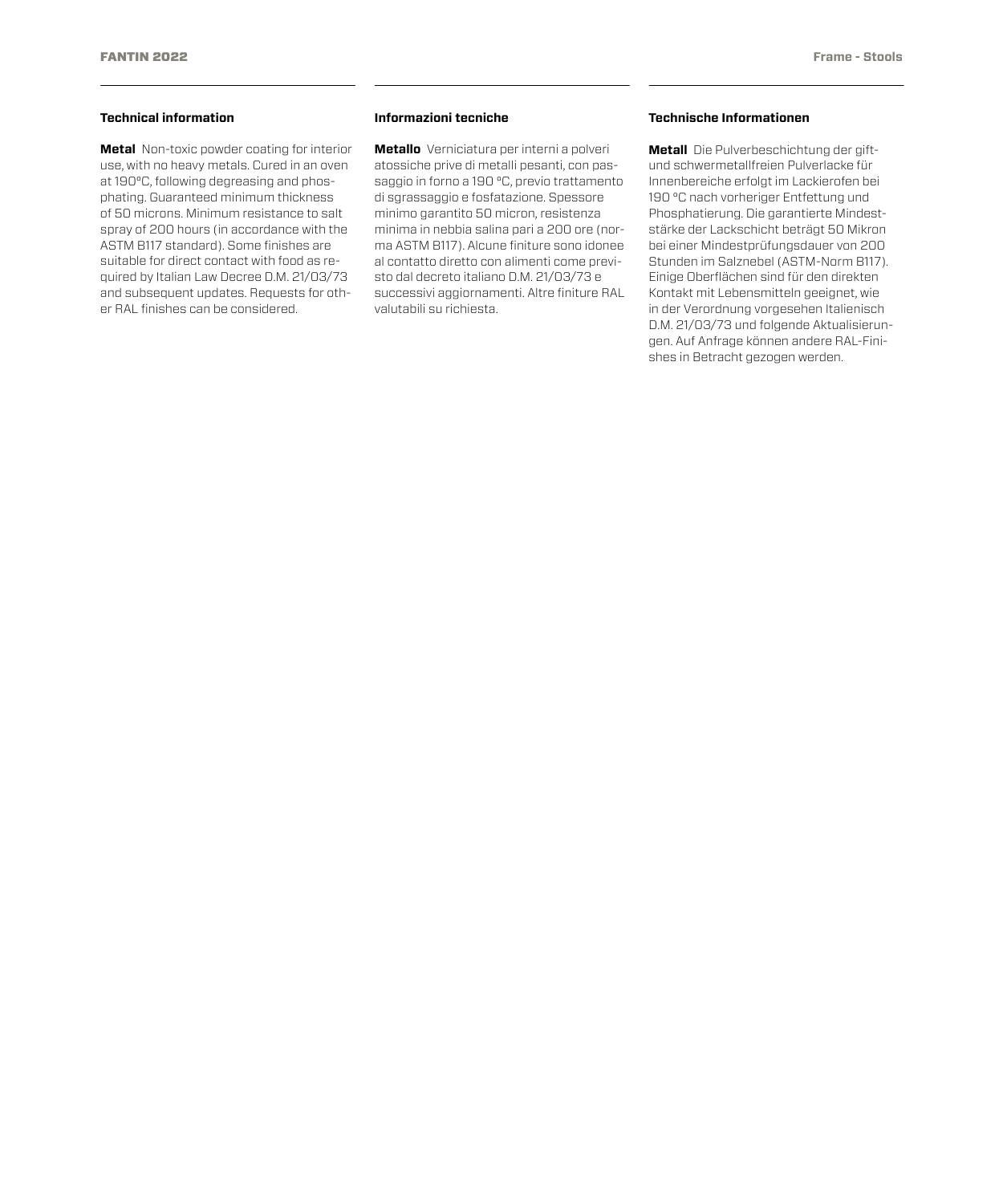### **Technical information**

**Metal** Non-toxic powder coating for interior use, with no heavy metals. Cured in an oven at 190°C, following degreasing and phosphating. Guaranteed minimum thickness of 50 microns. Minimum resistance to salt spray of 200 hours (in accordance with the ASTM B117 standard). Some finishes are suitable for direct contact with food as required by Italian Law Decree D.M. 21/03/73 and subsequent updates. Requests for other RAL finishes can be considered.

#### **Informazioni tecniche**

**Metallo** Verniciatura per interni a polveri atossiche prive di metalli pesanti, con passaggio in forno a 190 °C, previo trattamento di sgrassaggio e fosfatazione. Spessore minimo garantito 50 micron, resistenza minima in nebbia salina pari a 200 ore (norma ASTM B117). Alcune finiture sono idonee al contatto diretto con alimenti come previsto dal decreto italiano D.M. 21/03/73 e successivi aggiornamenti. Altre finiture RAL valutabili su richiesta.

## **Technische Informationen**

**Metall** Die Pulverbeschichtung der giftund schwermetallfreien Pulverlacke für Innenbereiche erfolgt im Lackierofen bei 190 °C nach vorheriger Entfettung und Phosphatierung. Die garantierte Mindeststärke der Lackschicht beträgt 50 Mikron bei einer Mindestprüfungsdauer von 200 Stunden im Salznebel (ASTM-Norm B117). Einige Oberflächen sind für den direkten Kontakt mit Lebensmitteln geeignet, wie in der Verordnung vorgesehen Italienisch D.M. 21/03/73 und folgende Aktualisierungen. Auf Anfrage können andere RAL-Finishes in Betracht gezogen werden.